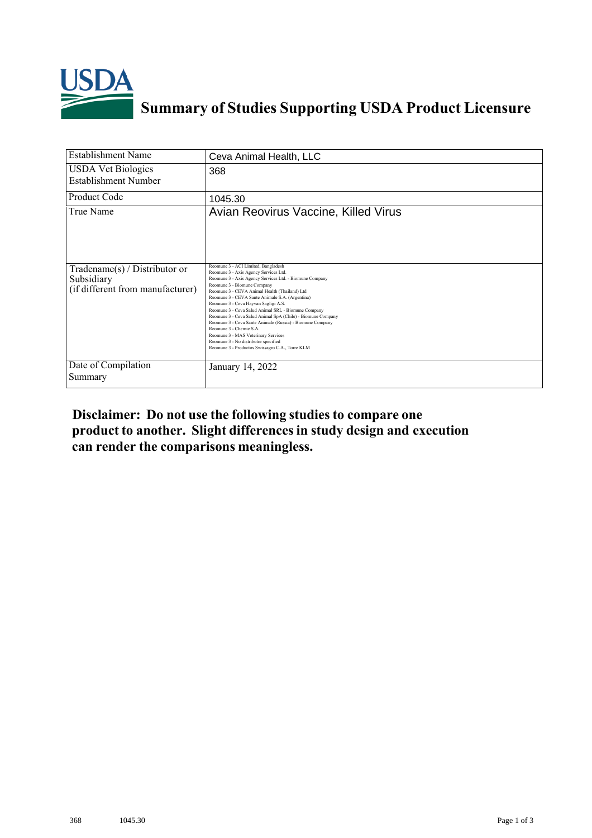

## **Summary of Studies Supporting USDA Product Licensure**

| <b>Establishment Name</b>                                                         | Ceva Animal Health, LLC                                                                                                                                                                                                                                                                                                                                                                                                                                                                                                                                                                                                                                            |
|-----------------------------------------------------------------------------------|--------------------------------------------------------------------------------------------------------------------------------------------------------------------------------------------------------------------------------------------------------------------------------------------------------------------------------------------------------------------------------------------------------------------------------------------------------------------------------------------------------------------------------------------------------------------------------------------------------------------------------------------------------------------|
| <b>USDA Vet Biologics</b><br>Establishment Number                                 | 368                                                                                                                                                                                                                                                                                                                                                                                                                                                                                                                                                                                                                                                                |
| <b>Product Code</b>                                                               | 1045.30                                                                                                                                                                                                                                                                                                                                                                                                                                                                                                                                                                                                                                                            |
| True Name                                                                         | Avian Reovirus Vaccine, Killed Virus                                                                                                                                                                                                                                                                                                                                                                                                                                                                                                                                                                                                                               |
| $Tradename(s) / Distributor$ or<br>Subsidiary<br>(if different from manufacturer) | Reomune 3 - ACI Limited, Bangladesh<br>Reomune 3 - Axis Agency Services Ltd.<br>Reomune 3 - Axis Agency Services Ltd. - Biomune Company<br>Reomune 3 - Biomune Company<br>Reomune 3 - CEVA Animal Health (Thailand) Ltd<br>Reomune 3 - CEVA Sante Animale S.A. (Argentina)<br>Reomune 3 - Ceva Hayvan Sagligi A.S.<br>Reomune 3 - Ceva Salud Animal SRL - Biomune Company<br>Reomune 3 - Ceva Salud Animal SpA (Chile) - Biomune Company<br>Reomune 3 - Ceva Sante Animale (Russia) - Biomune Company<br>Reomune 3 - Chemie S.A.<br>Reomune 3 - MAS Veterinary Services<br>Reomune 3 - No distributor specified<br>Reomune 3 - Productos Swissagro C.A., Torre KLM |
| Date of Compilation<br>Summary                                                    | January 14, 2022                                                                                                                                                                                                                                                                                                                                                                                                                                                                                                                                                                                                                                                   |

**Disclaimer: Do not use the following studiesto compare one product to another. Slight differencesin study design and execution can render the comparisons meaningless.**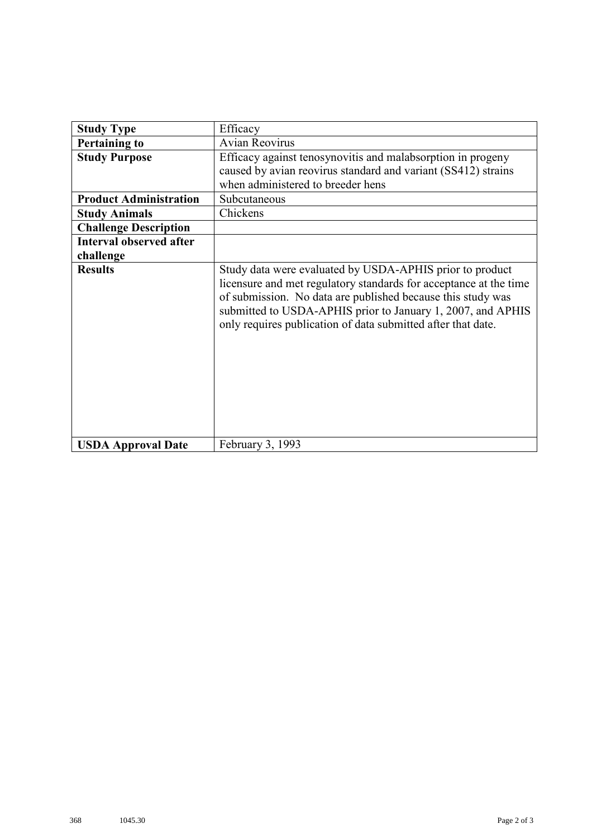| <b>Study Type</b>              | Efficacy                                                                                                                                                                                                                                                                                                                    |
|--------------------------------|-----------------------------------------------------------------------------------------------------------------------------------------------------------------------------------------------------------------------------------------------------------------------------------------------------------------------------|
| <b>Pertaining to</b>           | <b>Avian Reovirus</b>                                                                                                                                                                                                                                                                                                       |
| <b>Study Purpose</b>           | Efficacy against tenosynovitis and malabsorption in progeny                                                                                                                                                                                                                                                                 |
|                                | caused by avian reovirus standard and variant (SS412) strains                                                                                                                                                                                                                                                               |
|                                | when administered to breeder hens                                                                                                                                                                                                                                                                                           |
| <b>Product Administration</b>  | Subcutaneous                                                                                                                                                                                                                                                                                                                |
| <b>Study Animals</b>           | Chickens                                                                                                                                                                                                                                                                                                                    |
| <b>Challenge Description</b>   |                                                                                                                                                                                                                                                                                                                             |
| <b>Interval observed after</b> |                                                                                                                                                                                                                                                                                                                             |
| challenge                      |                                                                                                                                                                                                                                                                                                                             |
| <b>Results</b>                 | Study data were evaluated by USDA-APHIS prior to product<br>licensure and met regulatory standards for acceptance at the time<br>of submission. No data are published because this study was<br>submitted to USDA-APHIS prior to January 1, 2007, and APHIS<br>only requires publication of data submitted after that date. |
| <b>USDA Approval Date</b>      | February 3, 1993                                                                                                                                                                                                                                                                                                            |